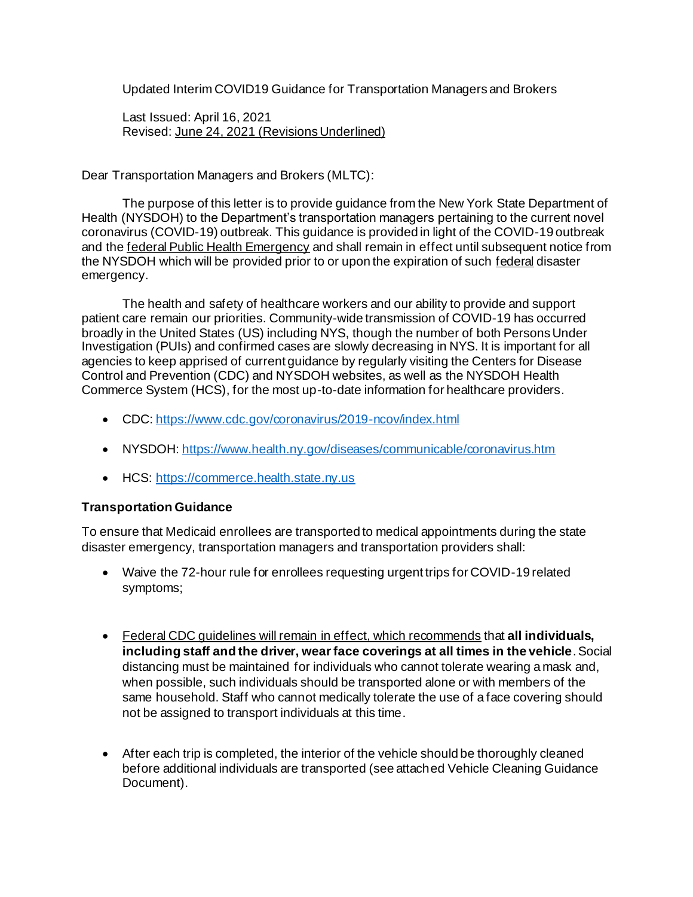Updated Interim COVID19 Guidance for Transportation Managers and Brokers

Last Issued: April 16, 2021 Revised: June 24, 2021 (Revisions Underlined)

Dear Transportation Managers and Brokers (MLTC):

The purpose of this letter is to provide guidance from the New York State Department of Health (NYSDOH) to the Department's transportation managers pertaining to the current novel coronavirus (COVID-19) outbreak. This guidance is provided in light of the COVID-19 outbreak and the federal Public Health Emergency and shall remain in effect until subsequent notice from the NYSDOH which will be provided prior to or upon the expiration of such federal disaster emergency.

The health and safety of healthcare workers and our ability to provide and support patient care remain our priorities. Community-wide transmission of COVID-19 has occurred broadly in the United States (US) including NYS, though the number of both Persons Under Investigation (PUIs) and confirmed cases are slowly decreasing in NYS. It is important for all agencies to keep apprised of current guidance by regularly visiting the Centers for Disease Control and Prevention (CDC) and NYSDOH websites, as well as the NYSDOH Health Commerce System (HCS), for the most up-to-date information for healthcare providers.

- CDC:<https://www.cdc.gov/coronavirus/2019-ncov/index.html>
- NYSDOH:<https://www.health.ny.gov/diseases/communicable/coronavirus.htm>
- HCS: [https://commerce.health.state.ny.us](https://commerce.health.state.ny.us/)

## **Transportation Guidance**

To ensure that Medicaid enrollees are transported to medical appointments during the state disaster emergency, transportation managers and transportation providers shall:

- Waive the 72-hour rule for enrollees requesting urgent trips for COVID-19 related symptoms;
- Federal CDC guidelines will remain in effect, which recommends that **all individuals, including staff and the driver, wear face coverings at all times in the vehicle**. Social distancing must be maintained for individuals who cannot tolerate wearing a mask and, when possible, such individuals should be transported alone or with members of the same household. Staff who cannot medically tolerate the use of a face covering should not be assigned to transport individuals at this time.
- After each trip is completed, the interior of the vehicle should be thoroughly cleaned before additional individuals are transported (see attached Vehicle Cleaning Guidance Document).